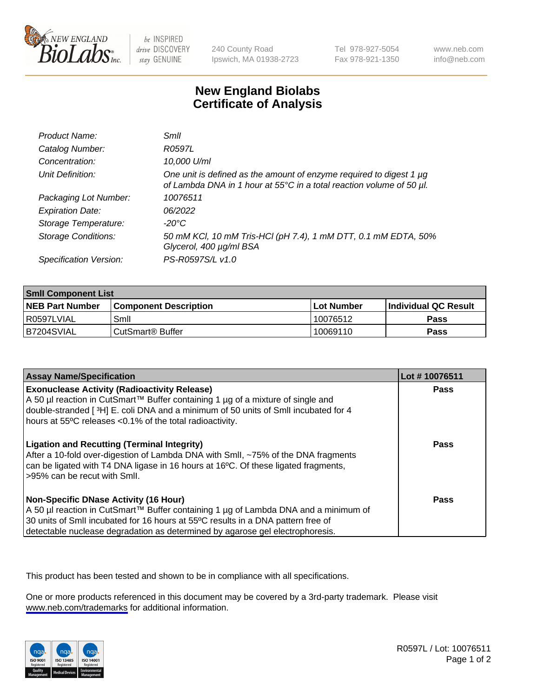

be INSPIRED drive DISCOVERY stay GENUINE

240 County Road Ipswich, MA 01938-2723 Tel 978-927-5054 Fax 978-921-1350

www.neb.com info@neb.com

## **New England Biolabs Certificate of Analysis**

| Product Name:              | Smil                                                                                                                                        |
|----------------------------|---------------------------------------------------------------------------------------------------------------------------------------------|
| Catalog Number:            | R0597L                                                                                                                                      |
| Concentration:             | 10,000 U/ml                                                                                                                                 |
| Unit Definition:           | One unit is defined as the amount of enzyme required to digest 1 µg<br>of Lambda DNA in 1 hour at 55°C in a total reaction volume of 50 µl. |
| Packaging Lot Number:      | 10076511                                                                                                                                    |
| <b>Expiration Date:</b>    | 06/2022                                                                                                                                     |
| Storage Temperature:       | -20°C                                                                                                                                       |
| <b>Storage Conditions:</b> | 50 mM KCl, 10 mM Tris-HCl (pH 7.4), 1 mM DTT, 0.1 mM EDTA, 50%<br>Glycerol, 400 µg/ml BSA                                                   |
| Specification Version:     | PS-R0597S/L v1.0                                                                                                                            |

| <b>Smil Component List</b> |                              |              |                             |  |
|----------------------------|------------------------------|--------------|-----------------------------|--|
| <b>NEB Part Number</b>     | <b>Component Description</b> | l Lot Number | <b>Individual QC Result</b> |  |
| l R0597LVIAL               | Smil                         | 10076512     | Pass                        |  |
| B7204SVIAL                 | CutSmart <sup>®</sup> Buffer | 10069110     | Pass                        |  |

| <b>Assay Name/Specification</b>                                                                                                                                                                                                                                                                          | Lot #10076511 |
|----------------------------------------------------------------------------------------------------------------------------------------------------------------------------------------------------------------------------------------------------------------------------------------------------------|---------------|
| <b>Exonuclease Activity (Radioactivity Release)</b><br>A 50 µl reaction in CutSmart™ Buffer containing 1 µg of a mixture of single and<br>double-stranded [3H] E. coli DNA and a minimum of 50 units of SmII incubated for 4<br>hours at 55°C releases <0.1% of the total radioactivity.                 | Pass          |
| <b>Ligation and Recutting (Terminal Integrity)</b><br>After a 10-fold over-digestion of Lambda DNA with Smll, ~75% of the DNA fragments<br>can be ligated with T4 DNA ligase in 16 hours at 16°C. Of these ligated fragments,<br>>95% can be recut with Smll.                                            | Pass          |
| <b>Non-Specific DNase Activity (16 Hour)</b><br>A 50 µl reaction in CutSmart™ Buffer containing 1 µg of Lambda DNA and a minimum of<br>30 units of Smll incubated for 16 hours at 55°C results in a DNA pattern free of<br>detectable nuclease degradation as determined by agarose gel electrophoresis. | <b>Pass</b>   |

This product has been tested and shown to be in compliance with all specifications.

One or more products referenced in this document may be covered by a 3rd-party trademark. Please visit <www.neb.com/trademarks>for additional information.